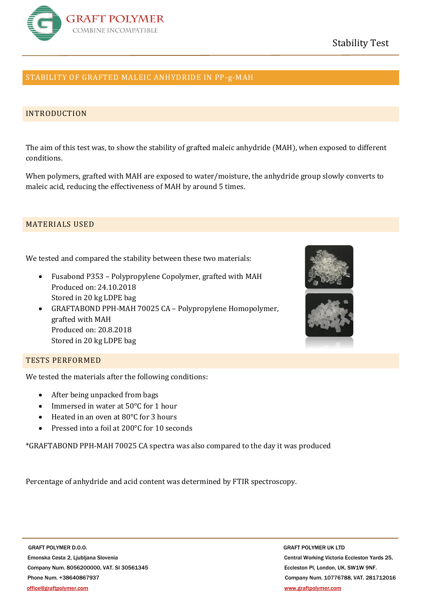

# STABILITY OF GRAFTED MALEIC ANHYDRIDE IN PP-g-MAH

## INTRODUCTION

The aim of this test was, to show the stability of grafted maleic anhydride (MAH), when exposed to different conditions.

When polymers, grafted with MAH are exposed to water/moisture, the anhydride group slowly converts to maleic acid, reducing the effectiveness of MAH by around 5 times.

## MATERIALS USED

We tested and compared the stability between these two materials:

- Fusabond P353 Polypropylene Copolymer, grafted with MAH Produced on: 24.10.2018 Stored in 20 kg LDPE bag
- GRAFTABOND PPH-MAH 70025 CA Polypropylene Homopolymer, grafted with MAH Produced on: 20.8.2018 Stored in 20 kg LDPE bag





## TESTS PERFORMED

We tested the materials after the following conditions:

- After being unpacked from bags
- Immersed in water at 50°C for 1 hour
- Heated in an oven at 80°C for 3 hours
- Pressed into a foil at 200°C for 10 seconds

\*GRAFTABOND PPH-MAH 70025 CA spectra was also compared to the day it was produced

Percentage of anhydride and acid content was determined by FTIR spectroscopy.

**GRAFT POLYMER D.O.O. BEING A RELATED AT A RELATED AT A RELATED A RELATED AT A RELATED AT A RELATED AT A RELATED AT A RELATED AT A RELATED AT A RELATED AND MODEL OF A RELATION OF A RELATION OF A RELATION OF A RELATION OF**  Emonska Cesta 2, Ljubljana Slovenia Central Working Victoria Eccleston Yards 25, Company Num. 8056200000, VAT. SI 30561345 Eccleston Pl, London, UK, SW1W 9NF. Phone Num. +38640867937 Company Num. 10776788, VAT. 281712016 [office@graftpolymer.com](mailto:office@graftpolymer.com) [www.graftpolymer.com](http://www.graftpolymer.com/)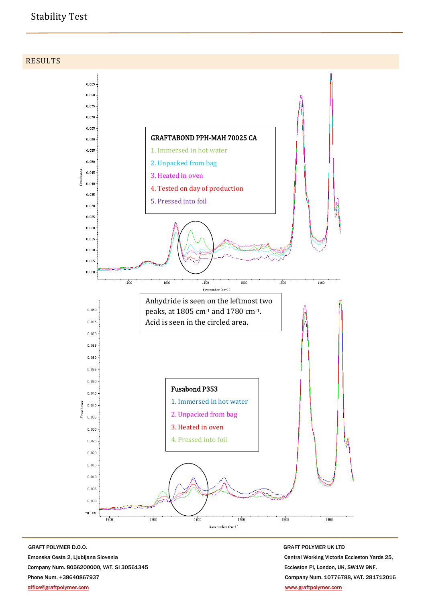# Stability Test

RESULTS



**GRAFT POLYMER D.O.O.** GRAFT POLYMER UK LTD Emonska Cesta 2, Ljubljana Slovenia Central Working Victoria Eccleston Yards 25, Company Num. 8056200000, VAT. SI 30561345 Eccleston Pl, London, UK, SW1W 9NF. Phone Num. +38640867937 Company Num. 10776788, VAT. 281712016 [office@graftpolymer.com](mailto:office@graftpolymer.com) [www.graftpolymer.com](http://www.graftpolymer.com/)